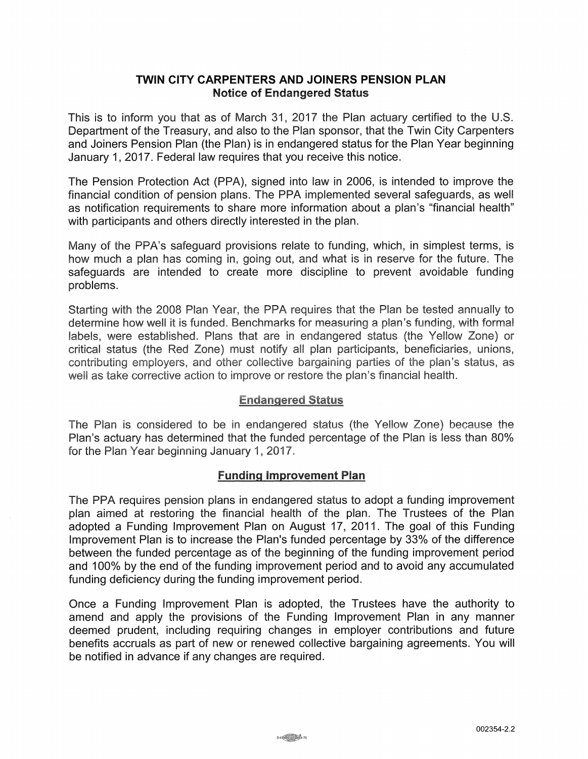# **TWIN CITY CARPENTERS AND JOINERS PENSION PLAN Notice of Endangered Status**

This is to inform you that as of March 31, 2017 the Plan actuary certified to the U.S. Department of the Treasury, and also to the Plan sponsor, that the Twin City Carpenters and Joiners Pension Plan (the Plan) is in endangered status for the Plan Year beginning January 1, 2017. Federal law requires that you receive this notice.

The Pension Protection Act (PPA), signed into law in 2006, is intended to improve the financial condition of pension plans. The PPA implemented several safeguards, as well as notification requirements to share more information about a plan's "financial health" with participants and others directly interested in the plan.

Many of the PPA's safeguard provisions relate to funding, which, in simplest terms, is how much a plan has coming in, going out, and what is in reserve for the future. The safeguards are intended to create more discipline to prevent avoidable funding problems.

Starting with the 2008 Plan Year, the PPA requires that the Plan be tested annually to determine how well it is funded. Benchmarks for measuring a plan's funding, with formal labels, were established. Plans that are in endangered status (the Yellow Zone) or critical status (the Red Zone) must notify all plan participants, beneficiaries, unions, contributing employers, and other collective bargaining parties of the plan's status, as well as take corrective action to improve or restore the plan's financial health.

## **Endangered Status**

The Plan is considered to be in endangered status (the Yellow Zone) because the Plan's actuary has determined that the funded percentage of the Plan is less than 80% for the Plan Year beginning January 1, 2017.

## **Funding Improvement Plan**

The PPA requires pension plans in endangered status to adopt a funding improvement plan aimed at restoring the financial health of the plan. The Trustees of the Plan adopted a Funding Improvement Plan on August 17, 2011. The goal of this Funding Improvement Plan is to increase the Plan's funded percentage by 33% of the difference between the funded percentage as of the beginning of the funding improvement period and 100% by the end of the funding improvement period and to avoid any accumulated funding deficiency during the funding improvement period.

Once a Funding Improvement Plan is adopted, the Trustees have the authority to amend and apply the provisions of the Funding Improvement Plan in any manner deemed prudent, including requiring changes in employer contributions and future benefits accruals as part of new or renewed collective bargaining agreements. You will be notified in advance if any changes are required.